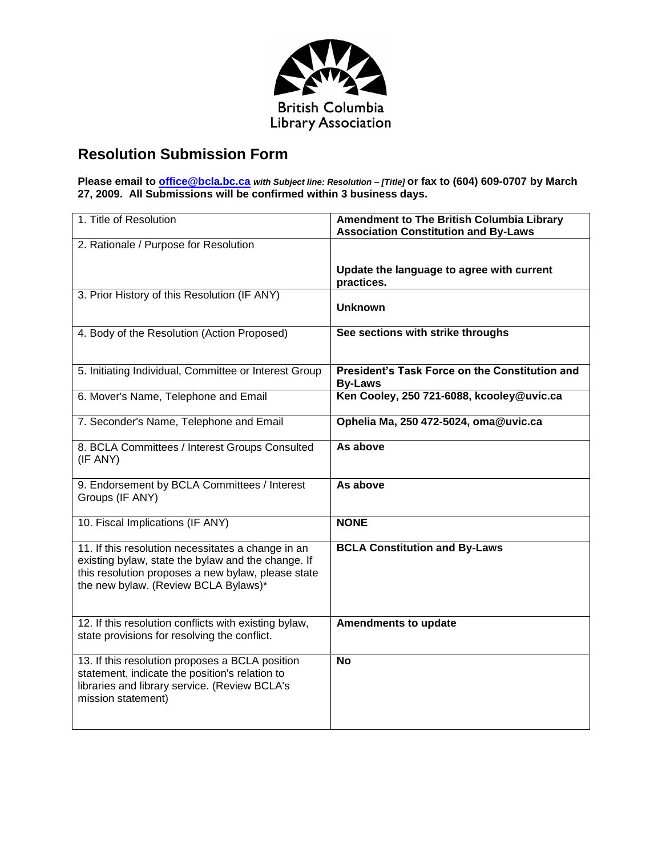

## **Resolution Submission Form**

**Please email to [office@bcla.bc.ca](mailto:office@bcla.bc.ca)** *with Subject line: Resolution – [Title]* **or fax to (604) 609-0707 by March 27, 2009. All Submissions will be confirmed within 3 business days.**

| 1. Title of Resolution                                                                                                                                                                                 | Amendment to The British Columbia Library<br><b>Association Constitution and By-Laws</b> |
|--------------------------------------------------------------------------------------------------------------------------------------------------------------------------------------------------------|------------------------------------------------------------------------------------------|
| 2. Rationale / Purpose for Resolution                                                                                                                                                                  |                                                                                          |
|                                                                                                                                                                                                        | Update the language to agree with current<br>practices.                                  |
| 3. Prior History of this Resolution (IF ANY)                                                                                                                                                           | <b>Unknown</b>                                                                           |
| 4. Body of the Resolution (Action Proposed)                                                                                                                                                            | See sections with strike throughs                                                        |
| 5. Initiating Individual, Committee or Interest Group                                                                                                                                                  | President's Task Force on the Constitution and<br><b>By-Laws</b>                         |
| 6. Mover's Name, Telephone and Email                                                                                                                                                                   | Ken Cooley, 250 721-6088, kcooley@uvic.ca                                                |
| 7. Seconder's Name, Telephone and Email                                                                                                                                                                | Ophelia Ma, 250 472-5024, oma@uvic.ca                                                    |
| 8. BCLA Committees / Interest Groups Consulted<br>(IF ANY)                                                                                                                                             | As above                                                                                 |
| 9. Endorsement by BCLA Committees / Interest<br>Groups (IF ANY)                                                                                                                                        | As above                                                                                 |
| 10. Fiscal Implications (IF ANY)                                                                                                                                                                       | <b>NONE</b>                                                                              |
| 11. If this resolution necessitates a change in an<br>existing bylaw, state the bylaw and the change. If<br>this resolution proposes a new bylaw, please state<br>the new bylaw. (Review BCLA Bylaws)* | <b>BCLA Constitution and By-Laws</b>                                                     |
| 12. If this resolution conflicts with existing bylaw,<br>state provisions for resolving the conflict.                                                                                                  | <b>Amendments to update</b>                                                              |
| 13. If this resolution proposes a BCLA position<br>statement, indicate the position's relation to<br>libraries and library service. (Review BCLA's<br>mission statement)                               | <b>No</b>                                                                                |